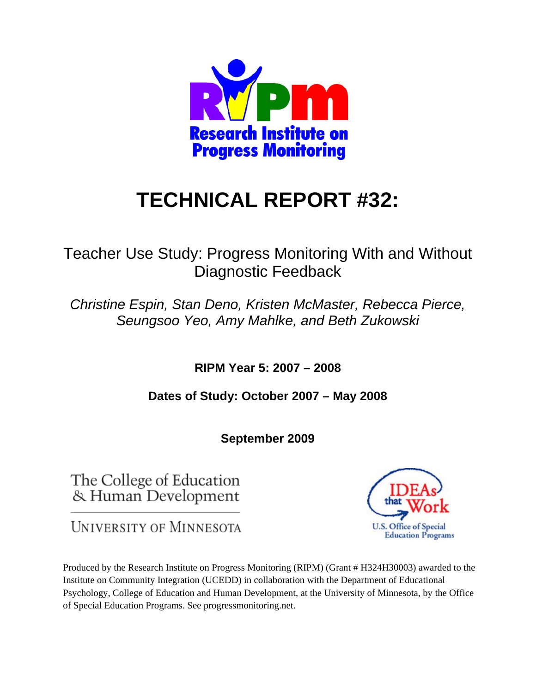

# **TECHNICAL REPORT #32:**

# Teacher Use Study: Progress Monitoring With and Without Diagnostic Feedback

*Christine Espin, Stan Deno, Kristen McMaster, Rebecca Pierce, Seungsoo Yeo, Amy Mahlke, and Beth Zukowski* 

**RIPM Year 5: 2007 – 2008** 

**Dates of Study: October 2007 – May 2008** 

**September 2009** 

The College of Education & Human Development

**UNIVERSITY OF MINNESOTA** 

Produced by the Research Institute on Progress Monitoring (RIPM) (Grant # H324H30003) awarded to the Institute on Community Integration (UCEDD) in collaboration with the Department of Educational Psychology, College of Education and Human Development, at the University of Minnesota, by the Office of Special Education Programs. See progressmonitoring.net.

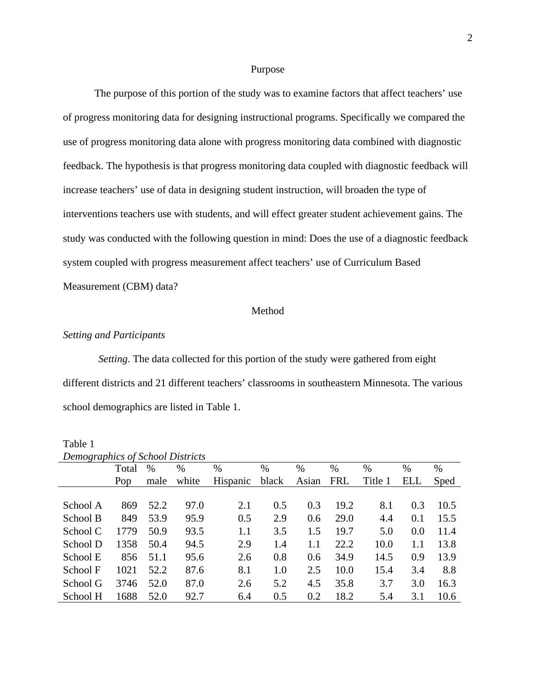#### Purpose

The purpose of this portion of the study was to examine factors that affect teachers' use of progress monitoring data for designing instructional programs. Specifically we compared the use of progress monitoring data alone with progress monitoring data combined with diagnostic feedback. The hypothesis is that progress monitoring data coupled with diagnostic feedback will increase teachers' use of data in designing student instruction, will broaden the type of interventions teachers use with students, and will effect greater student achievement gains. The study was conducted with the following question in mind: Does the use of a diagnostic feedback system coupled with progress measurement affect teachers' use of Curriculum Based Measurement (CBM) data?

#### Method

#### *Setting and Participants*

*Setting*. The data collected for this portion of the study were gathered from eight different districts and 21 different teachers' classrooms in southeastern Minnesota. The various school demographics are listed in Table 1.

|          | Demographics of School Districts |      |       |          |       |       |            |         |            |      |
|----------|----------------------------------|------|-------|----------|-------|-------|------------|---------|------------|------|
|          | Total                            | $\%$ | %     | $\%$     | $\%$  | $\%$  | $\%$       | $\%$    | $\%$       | %    |
|          | Pop                              | male | white | Hispanic | black | Asian | <b>FRL</b> | Title 1 | <b>ELL</b> | Sped |
|          |                                  |      |       |          |       |       |            |         |            |      |
| School A | 869                              | 52.2 | 97.0  | 2.1      | 0.5   | 0.3   | 19.2       | 8.1     | 0.3        | 10.5 |
| School B | 849                              | 53.9 | 95.9  | 0.5      | 2.9   | 0.6   | 29.0       | 4.4     | 0.1        | 15.5 |
| School C | 1779                             | 50.9 | 93.5  | $1.1\,$  | 3.5   | 1.5   | 19.7       | 5.0     | 0.0        | 11.4 |
| School D | 1358                             | 50.4 | 94.5  | 2.9      | 1.4   | 1.1   | 22.2       | 10.0    | 1.1        | 13.8 |
| School E | 856                              | 51.1 | 95.6  | 2.6      | 0.8   | 0.6   | 34.9       | 14.5    | 0.9        | 13.9 |
| School F | 1021                             | 52.2 | 87.6  | 8.1      | 1.0   | 2.5   | 10.0       | 15.4    | 3.4        | 8.8  |
| School G | 3746                             | 52.0 | 87.0  | 2.6      | 5.2   | 4.5   | 35.8       | 3.7     | 3.0        | 16.3 |
| School H | 1688                             | 52.0 | 92.7  | 6.4      | 0.5   | 0.2   | 18.2       | 5.4     | 3.1        | 10.6 |

### Table 1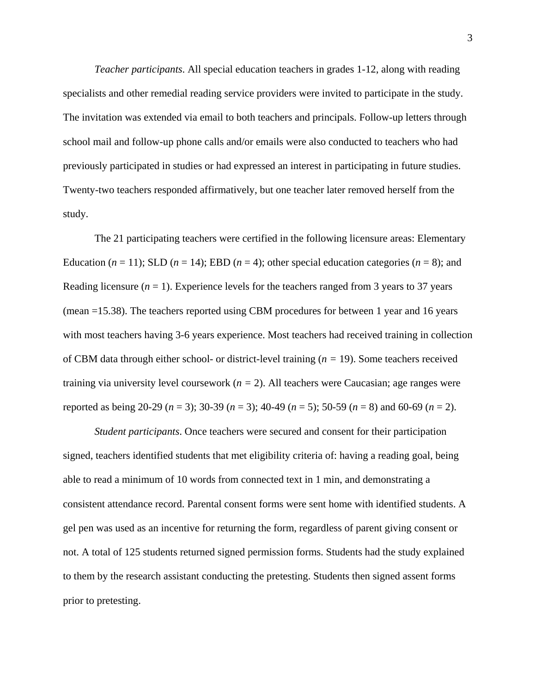*Teacher participants*. All special education teachers in grades 1-12, along with reading specialists and other remedial reading service providers were invited to participate in the study. The invitation was extended via email to both teachers and principals. Follow-up letters through school mail and follow-up phone calls and/or emails were also conducted to teachers who had previously participated in studies or had expressed an interest in participating in future studies. Twenty-two teachers responded affirmatively, but one teacher later removed herself from the study.

The 21 participating teachers were certified in the following licensure areas: Elementary Education ( $n = 11$ ); SLD ( $n = 14$ ); EBD ( $n = 4$ ); other special education categories ( $n = 8$ ); and Reading licensure  $(n = 1)$ . Experience levels for the teachers ranged from 3 years to 37 years (mean =15.38). The teachers reported using CBM procedures for between 1 year and 16 years with most teachers having 3-6 years experience. Most teachers had received training in collection of CBM data through either school- or district-level training (*n =* 19). Some teachers received training via university level coursework (*n =* 2). All teachers were Caucasian; age ranges were reported as being 20-29 (*n* = 3); 30-39 (*n* = 3); 40-49 (*n* = 5); 50-59 (*n* = 8) and 60-69 (*n* = 2).

*Student participants*. Once teachers were secured and consent for their participation signed, teachers identified students that met eligibility criteria of: having a reading goal, being able to read a minimum of 10 words from connected text in 1 min, and demonstrating a consistent attendance record. Parental consent forms were sent home with identified students. A gel pen was used as an incentive for returning the form, regardless of parent giving consent or not. A total of 125 students returned signed permission forms. Students had the study explained to them by the research assistant conducting the pretesting. Students then signed assent forms prior to pretesting.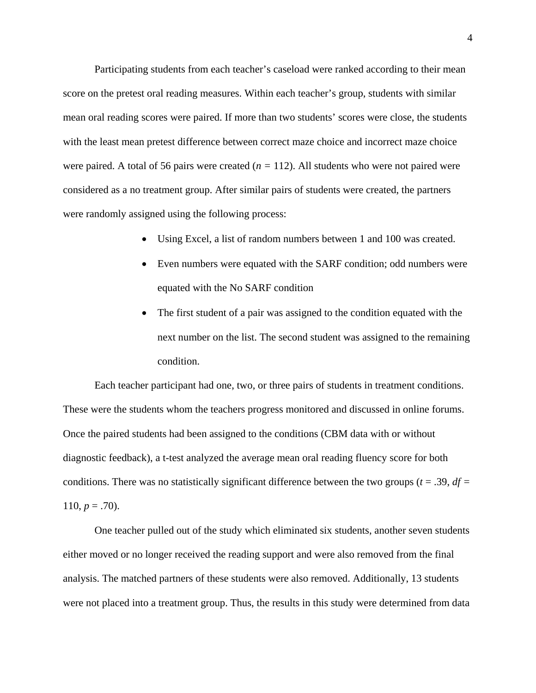Participating students from each teacher's caseload were ranked according to their mean score on the pretest oral reading measures. Within each teacher's group, students with similar mean oral reading scores were paired. If more than two students' scores were close, the students with the least mean pretest difference between correct maze choice and incorrect maze choice were paired. A total of 56 pairs were created (*n =* 112). All students who were not paired were considered as a no treatment group. After similar pairs of students were created, the partners were randomly assigned using the following process:

- Using Excel, a list of random numbers between 1 and 100 was created.
- Even numbers were equated with the SARF condition; odd numbers were equated with the No SARF condition
- The first student of a pair was assigned to the condition equated with the next number on the list. The second student was assigned to the remaining condition.

Each teacher participant had one, two, or three pairs of students in treatment conditions. These were the students whom the teachers progress monitored and discussed in online forums. Once the paired students had been assigned to the conditions (CBM data with or without diagnostic feedback), a t-test analyzed the average mean oral reading fluency score for both conditions. There was no statistically significant difference between the two groups ( $t = .39$ ,  $df =$ 110,  $p = .70$ ).

One teacher pulled out of the study which eliminated six students, another seven students either moved or no longer received the reading support and were also removed from the final analysis. The matched partners of these students were also removed. Additionally, 13 students were not placed into a treatment group. Thus, the results in this study were determined from data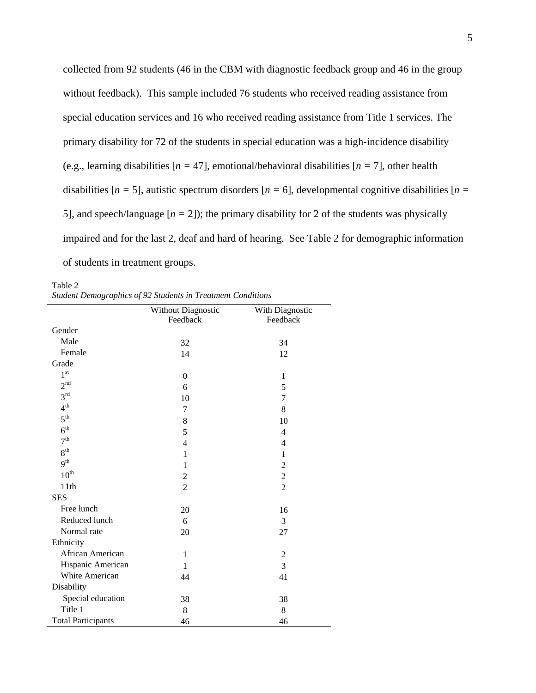collected from 92 students (46 in the CBM with diagnostic feedback group and 46 in the group without feedback). This sample included 76 students who received reading assistance from special education services and 16 who received reading assistance from Title 1 services. The primary disability for 72 of the students in special education was a high-incidence disability (e.g., learning disabilities [*n =* 47], emotional/behavioral disabilities [*n =* 7], other health disabilities  $[n = 5]$ , autistic spectrum disorders  $[n = 6]$ , developmental cognitive disabilities  $[n = 1]$ 5], and speech/language  $[n = 2]$ ; the primary disability for 2 of the students was physically impaired and for the last 2, deaf and hard of hearing. See Table 2 for demographic information of students in treatment groups.

Table 2 *Student Demographics of 92 Students in Treatment Conditions* 

|                           | <b>Without Diagnostic</b> | With Diagnostic |
|---------------------------|---------------------------|-----------------|
|                           | Feedback                  | Feedback        |
| Gender                    |                           |                 |
| Male                      | 32                        | 34              |
| Female                    | 14                        | 12              |
| Grade                     |                           |                 |
| $1^{\rm st}$              | $\theta$                  | 1               |
| 2 <sup>nd</sup>           | 6                         | 5               |
| 3 <sup>rd</sup>           | 10                        | 7               |
| 4 <sup>th</sup>           | 7                         | 8               |
| $5^{\text{th}}$           | 8                         | 10              |
| 6 <sup>th</sup>           | 5                         | $\overline{4}$  |
| 7 <sup>th</sup>           | $\overline{4}$            | $\overline{4}$  |
| 8 <sup>th</sup>           | 1                         | 1               |
| 9 <sup>th</sup>           | 1                         | $\overline{2}$  |
| $10^{\text{th}}$          | $\overline{c}$            | $\overline{c}$  |
| 11th                      | $\overline{2}$            | $\overline{2}$  |
| <b>SES</b>                |                           |                 |
| Free lunch                | 20                        | 16              |
| Reduced lunch             | 6                         | 3               |
| Normal rate               | 20                        | 27              |
| Ethnicity                 |                           |                 |
| African American          | $\mathbf{1}$              | $\overline{2}$  |
| Hispanic American         | $\mathbf{1}$              | 3               |
| White American            | 44                        | 41              |
| Disability                |                           |                 |
| Special education         | 38                        | 38              |
| Title 1                   | 8                         | 8               |
| <b>Total Participants</b> | 46                        | 46              |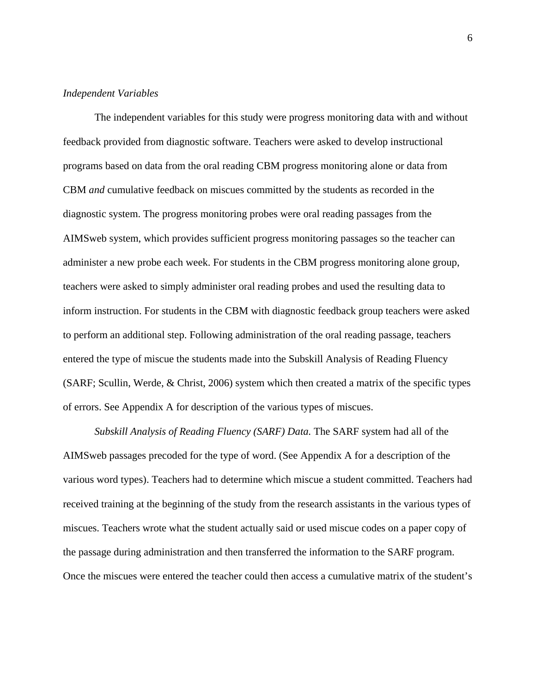#### *Independent Variables*

The independent variables for this study were progress monitoring data with and without feedback provided from diagnostic software. Teachers were asked to develop instructional programs based on data from the oral reading CBM progress monitoring alone or data from CBM *and* cumulative feedback on miscues committed by the students as recorded in the diagnostic system. The progress monitoring probes were oral reading passages from the AIMSweb system, which provides sufficient progress monitoring passages so the teacher can administer a new probe each week. For students in the CBM progress monitoring alone group, teachers were asked to simply administer oral reading probes and used the resulting data to inform instruction. For students in the CBM with diagnostic feedback group teachers were asked to perform an additional step. Following administration of the oral reading passage, teachers entered the type of miscue the students made into the Subskill Analysis of Reading Fluency (SARF; Scullin, Werde, & Christ, 2006) system which then created a matrix of the specific types of errors. See Appendix A for description of the various types of miscues.

*Subskill Analysis of Reading Fluency (SARF) Data.* The SARF system had all of the AIMSweb passages precoded for the type of word. (See Appendix A for a description of the various word types). Teachers had to determine which miscue a student committed. Teachers had received training at the beginning of the study from the research assistants in the various types of miscues. Teachers wrote what the student actually said or used miscue codes on a paper copy of the passage during administration and then transferred the information to the SARF program. Once the miscues were entered the teacher could then access a cumulative matrix of the student's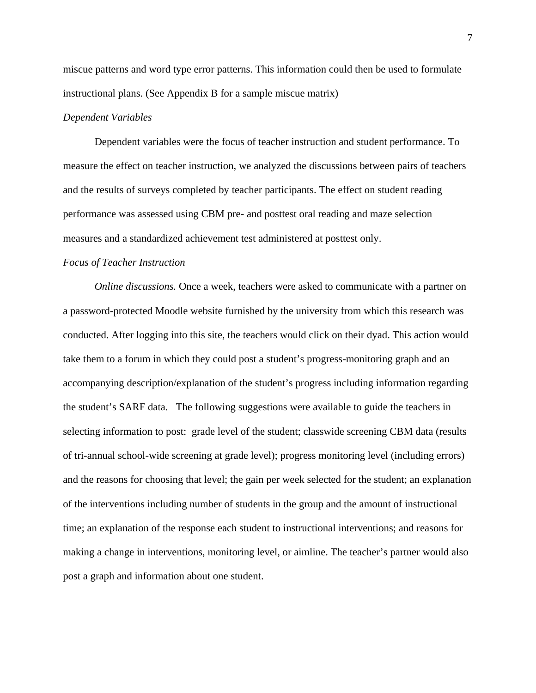miscue patterns and word type error patterns. This information could then be used to formulate instructional plans. (See Appendix B for a sample miscue matrix)

#### *Dependent Variables*

Dependent variables were the focus of teacher instruction and student performance. To measure the effect on teacher instruction, we analyzed the discussions between pairs of teachers and the results of surveys completed by teacher participants. The effect on student reading performance was assessed using CBM pre- and posttest oral reading and maze selection measures and a standardized achievement test administered at posttest only.

#### *Focus of Teacher Instruction*

*Online discussions.* Once a week, teachers were asked to communicate with a partner on a password-protected Moodle website furnished by the university from which this research was conducted. After logging into this site, the teachers would click on their dyad. This action would take them to a forum in which they could post a student's progress-monitoring graph and an accompanying description/explanation of the student's progress including information regarding the student's SARF data. The following suggestions were available to guide the teachers in selecting information to post: grade level of the student; classwide screening CBM data (results of tri-annual school-wide screening at grade level); progress monitoring level (including errors) and the reasons for choosing that level; the gain per week selected for the student; an explanation of the interventions including number of students in the group and the amount of instructional time; an explanation of the response each student to instructional interventions; and reasons for making a change in interventions, monitoring level, or aimline. The teacher's partner would also post a graph and information about one student.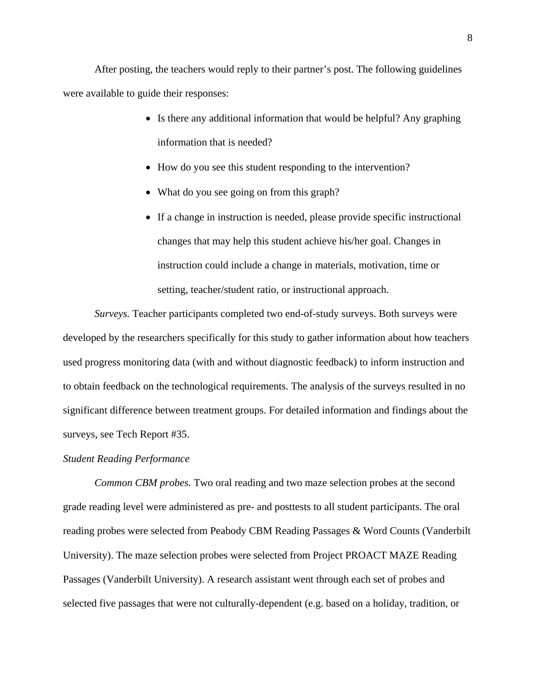After posting, the teachers would reply to their partner's post. The following guidelines were available to guide their responses:

- Is there any additional information that would be helpful? Any graphing information that is needed?
- How do you see this student responding to the intervention?
- What do you see going on from this graph?
- If a change in instruction is needed, please provide specific instructional changes that may help this student achieve his/her goal. Changes in instruction could include a change in materials, motivation, time or setting, teacher/student ratio, or instructional approach.

*Surveys.* Teacher participants completed two end-of-study surveys. Both surveys were developed by the researchers specifically for this study to gather information about how teachers used progress monitoring data (with and without diagnostic feedback) to inform instruction and to obtain feedback on the technological requirements. The analysis of the surveys resulted in no significant difference between treatment groups. For detailed information and findings about the surveys, see Tech Report #35.

#### *Student Reading Performance*

*Common CBM probes.* Two oral reading and two maze selection probes at the second grade reading level were administered as pre- and posttests to all student participants. The oral reading probes were selected from Peabody CBM Reading Passages & Word Counts (Vanderbilt University). The maze selection probes were selected from Project PROACT MAZE Reading Passages (Vanderbilt University). A research assistant went through each set of probes and selected five passages that were not culturally-dependent (e.g. based on a holiday, tradition, or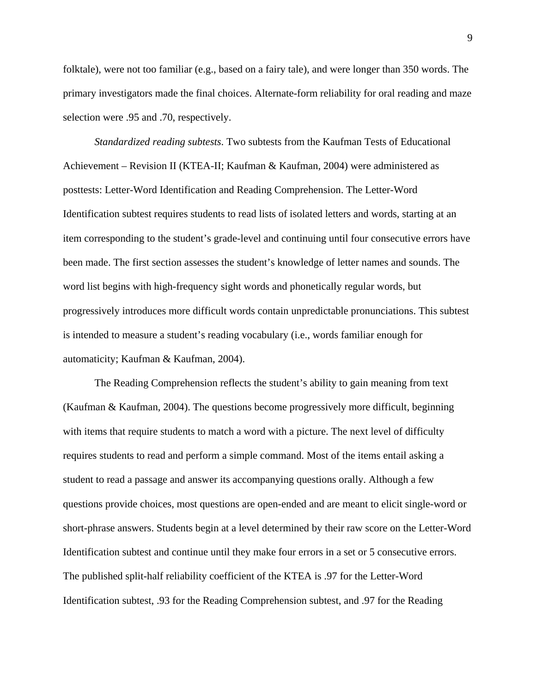folktale), were not too familiar (e.g., based on a fairy tale), and were longer than 350 words. The primary investigators made the final choices. Alternate-form reliability for oral reading and maze selection were .95 and .70, respectively.

*Standardized reading subtests*. Two subtests from the Kaufman Tests of Educational Achievement – Revision II (KTEA-II; Kaufman & Kaufman, 2004) were administered as posttests: Letter-Word Identification and Reading Comprehension. The Letter-Word Identification subtest requires students to read lists of isolated letters and words, starting at an item corresponding to the student's grade-level and continuing until four consecutive errors have been made. The first section assesses the student's knowledge of letter names and sounds. The word list begins with high-frequency sight words and phonetically regular words, but progressively introduces more difficult words contain unpredictable pronunciations. This subtest is intended to measure a student's reading vocabulary (i.e., words familiar enough for automaticity; Kaufman & Kaufman, 2004).

The Reading Comprehension reflects the student's ability to gain meaning from text (Kaufman & Kaufman, 2004). The questions become progressively more difficult, beginning with items that require students to match a word with a picture. The next level of difficulty requires students to read and perform a simple command. Most of the items entail asking a student to read a passage and answer its accompanying questions orally. Although a few questions provide choices, most questions are open-ended and are meant to elicit single-word or short-phrase answers. Students begin at a level determined by their raw score on the Letter-Word Identification subtest and continue until they make four errors in a set or 5 consecutive errors. The published split-half reliability coefficient of the KTEA is .97 for the Letter-Word Identification subtest, .93 for the Reading Comprehension subtest, and .97 for the Reading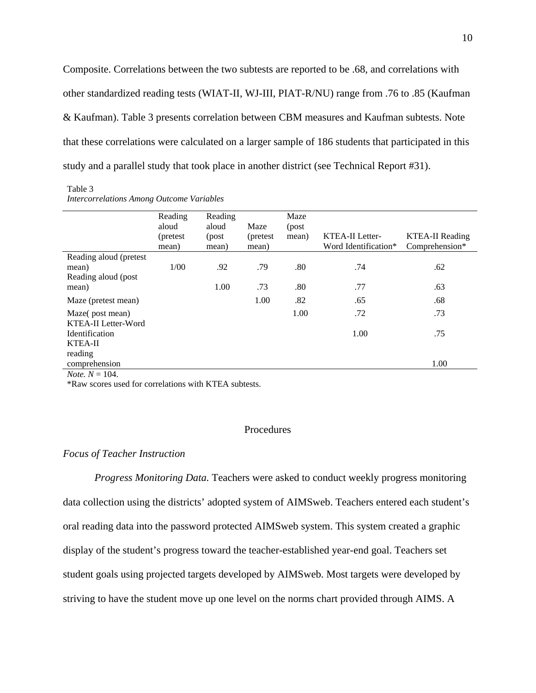Composite. Correlations between the two subtests are reported to be .68, and correlations with other standardized reading tests (WIAT-II, WJ-III, PIAT-R/NU) range from .76 to .85 (Kaufman & Kaufman). Table 3 presents correlation between CBM measures and Kaufman subtests. Note that these correlations were calculated on a larger sample of 186 students that participated in this study and a parallel study that took place in another district (see Technical Report #31).

Table 3 *Intercorrelations Among Outcome Variables* 

|                                                                  | Reading<br>aloud<br>(pretest)<br>mean) | Reading<br>aloud<br>(post<br>mean) | Maze<br>(pretest)<br>mean) | Maze<br>(post<br>mean) | <b>KTEA-II Letter-</b><br>Word Identification* | <b>KTEA-II Reading</b><br>Comprehension* |
|------------------------------------------------------------------|----------------------------------------|------------------------------------|----------------------------|------------------------|------------------------------------------------|------------------------------------------|
| Reading aloud (pretest<br>mean)<br>Reading aloud (post)<br>mean) | 1/00                                   | .92<br>1.00                        | .79<br>.73                 | .80<br>.80             | .74<br>.77                                     | .62<br>.63                               |
| Maze (pretest mean)                                              |                                        |                                    | 1.00                       | .82                    | .65                                            | .68                                      |
| Maze(post mean)<br>KTEA-II Letter-Word                           |                                        |                                    |                            | 1.00                   | .72                                            | .73                                      |
| Identification<br>KTEA-II                                        |                                        |                                    |                            |                        | 1.00                                           | .75                                      |
| reading<br>comprehension<br>$N_{\alpha 4\alpha}$ $N = 104$       |                                        |                                    |                            |                        |                                                | 1.00                                     |

*Note.*  $N = 104$ .

\*Raw scores used for correlations with KTEA subtests.

#### Procedures

#### *Focus of Teacher Instruction*

*Progress Monitoring Data.* Teachers were asked to conduct weekly progress monitoring data collection using the districts' adopted system of AIMSweb. Teachers entered each student's oral reading data into the password protected AIMSweb system. This system created a graphic display of the student's progress toward the teacher-established year-end goal. Teachers set student goals using projected targets developed by AIMSweb. Most targets were developed by striving to have the student move up one level on the norms chart provided through AIMS. A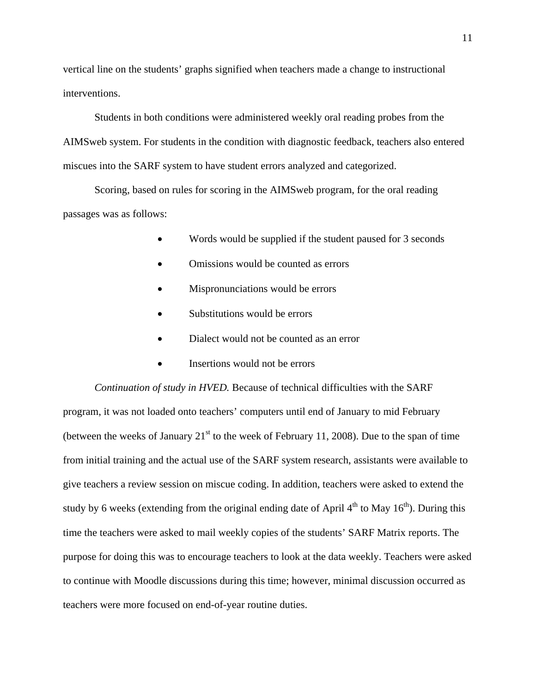vertical line on the students' graphs signified when teachers made a change to instructional interventions.

Students in both conditions were administered weekly oral reading probes from the AIMSweb system. For students in the condition with diagnostic feedback, teachers also entered miscues into the SARF system to have student errors analyzed and categorized.

Scoring, based on rules for scoring in the AIMSweb program, for the oral reading passages was as follows:

- Words would be supplied if the student paused for 3 seconds
- Omissions would be counted as errors
- Mispronunciations would be errors
- Substitutions would be errors
- Dialect would not be counted as an error
- Insertions would not be errors

*Continuation of study in HVED.* Because of technical difficulties with the SARF program, it was not loaded onto teachers' computers until end of January to mid February (between the weeks of January  $21<sup>st</sup>$  to the week of February 11, 2008). Due to the span of time from initial training and the actual use of the SARF system research, assistants were available to give teachers a review session on miscue coding. In addition, teachers were asked to extend the study by 6 weeks (extending from the original ending date of April  $4<sup>th</sup>$  to May  $16<sup>th</sup>$ ). During this time the teachers were asked to mail weekly copies of the students' SARF Matrix reports. The purpose for doing this was to encourage teachers to look at the data weekly. Teachers were asked to continue with Moodle discussions during this time; however, minimal discussion occurred as teachers were more focused on end-of-year routine duties.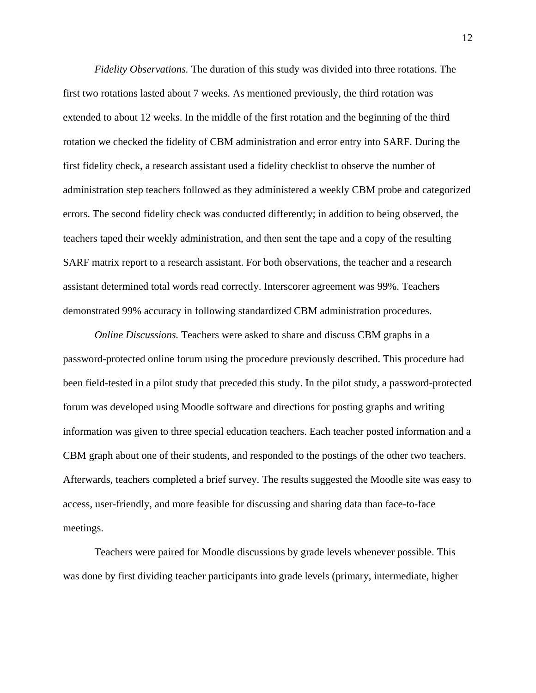*Fidelity Observations.* The duration of this study was divided into three rotations. The first two rotations lasted about 7 weeks. As mentioned previously, the third rotation was extended to about 12 weeks. In the middle of the first rotation and the beginning of the third rotation we checked the fidelity of CBM administration and error entry into SARF. During the first fidelity check, a research assistant used a fidelity checklist to observe the number of administration step teachers followed as they administered a weekly CBM probe and categorized errors. The second fidelity check was conducted differently; in addition to being observed, the teachers taped their weekly administration, and then sent the tape and a copy of the resulting SARF matrix report to a research assistant. For both observations, the teacher and a research assistant determined total words read correctly. Interscorer agreement was 99%. Teachers demonstrated 99% accuracy in following standardized CBM administration procedures.

*Online Discussions.* Teachers were asked to share and discuss CBM graphs in a password-protected online forum using the procedure previously described. This procedure had been field-tested in a pilot study that preceded this study. In the pilot study, a password-protected forum was developed using Moodle software and directions for posting graphs and writing information was given to three special education teachers. Each teacher posted information and a CBM graph about one of their students, and responded to the postings of the other two teachers. Afterwards, teachers completed a brief survey. The results suggested the Moodle site was easy to access, user-friendly, and more feasible for discussing and sharing data than face-to-face meetings.

Teachers were paired for Moodle discussions by grade levels whenever possible. This was done by first dividing teacher participants into grade levels (primary, intermediate, higher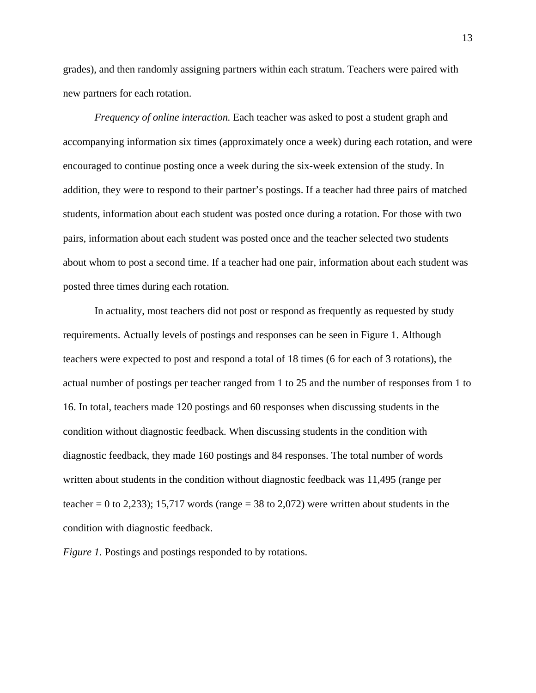grades), and then randomly assigning partners within each stratum. Teachers were paired with new partners for each rotation.

*Frequency of online interaction.* Each teacher was asked to post a student graph and accompanying information six times (approximately once a week) during each rotation, and were encouraged to continue posting once a week during the six-week extension of the study. In addition, they were to respond to their partner's postings. If a teacher had three pairs of matched students, information about each student was posted once during a rotation. For those with two pairs, information about each student was posted once and the teacher selected two students about whom to post a second time. If a teacher had one pair, information about each student was posted three times during each rotation.

In actuality, most teachers did not post or respond as frequently as requested by study requirements. Actually levels of postings and responses can be seen in Figure 1. Although teachers were expected to post and respond a total of 18 times (6 for each of 3 rotations), the actual number of postings per teacher ranged from 1 to 25 and the number of responses from 1 to 16. In total, teachers made 120 postings and 60 responses when discussing students in the condition without diagnostic feedback. When discussing students in the condition with diagnostic feedback, they made 160 postings and 84 responses. The total number of words written about students in the condition without diagnostic feedback was 11,495 (range per teacher = 0 to 2,233); 15,717 words (range = 38 to 2,072) were written about students in the condition with diagnostic feedback.

*Figure 1.* Postings and postings responded to by rotations.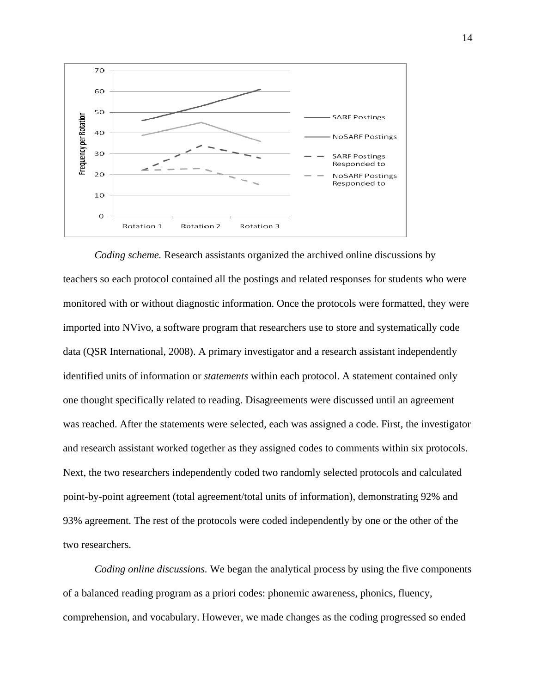

*Coding scheme.* Research assistants organized the archived online discussions by teachers so each protocol contained all the postings and related responses for students who were monitored with or without diagnostic information. Once the protocols were formatted, they were imported into NVivo, a software program that researchers use to store and systematically code data (QSR International, 2008). A primary investigator and a research assistant independently identified units of information or *statements* within each protocol. A statement contained only one thought specifically related to reading. Disagreements were discussed until an agreement was reached. After the statements were selected, each was assigned a code. First, the investigator and research assistant worked together as they assigned codes to comments within six protocols. Next, the two researchers independently coded two randomly selected protocols and calculated point-by-point agreement (total agreement/total units of information), demonstrating 92% and 93% agreement. The rest of the protocols were coded independently by one or the other of the two researchers.

*Coding online discussions.* We began the analytical process by using the five components of a balanced reading program as a priori codes: phonemic awareness, phonics, fluency, comprehension, and vocabulary. However, we made changes as the coding progressed so ended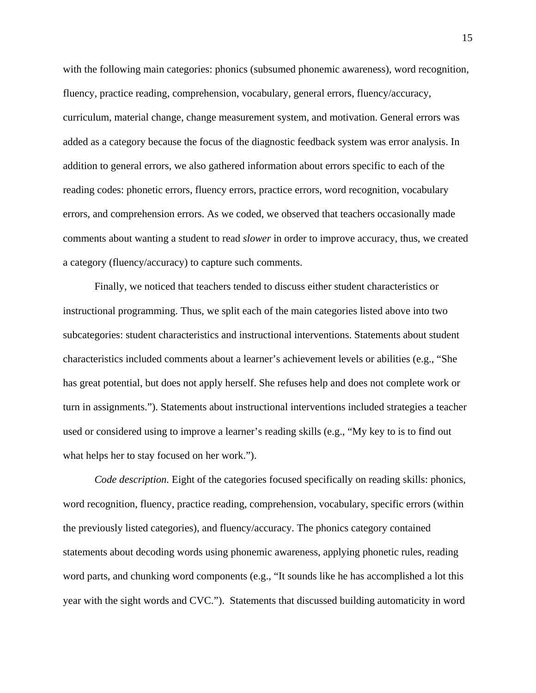with the following main categories: phonics (subsumed phonemic awareness), word recognition, fluency, practice reading, comprehension, vocabulary, general errors, fluency/accuracy, curriculum, material change, change measurement system, and motivation. General errors was added as a category because the focus of the diagnostic feedback system was error analysis. In addition to general errors, we also gathered information about errors specific to each of the reading codes: phonetic errors, fluency errors, practice errors, word recognition, vocabulary errors, and comprehension errors. As we coded, we observed that teachers occasionally made comments about wanting a student to read *slower* in order to improve accuracy, thus, we created a category (fluency/accuracy) to capture such comments.

Finally, we noticed that teachers tended to discuss either student characteristics or instructional programming. Thus, we split each of the main categories listed above into two subcategories: student characteristics and instructional interventions. Statements about student characteristics included comments about a learner's achievement levels or abilities (e.g., "She has great potential, but does not apply herself. She refuses help and does not complete work or turn in assignments."). Statements about instructional interventions included strategies a teacher used or considered using to improve a learner's reading skills (e.g., "My key to is to find out what helps her to stay focused on her work.").

*Code description.* Eight of the categories focused specifically on reading skills: phonics, word recognition, fluency, practice reading, comprehension, vocabulary, specific errors (within the previously listed categories), and fluency/accuracy. The phonics category contained statements about decoding words using phonemic awareness, applying phonetic rules, reading word parts, and chunking word components (e.g., "It sounds like he has accomplished a lot this year with the sight words and CVC."). Statements that discussed building automaticity in word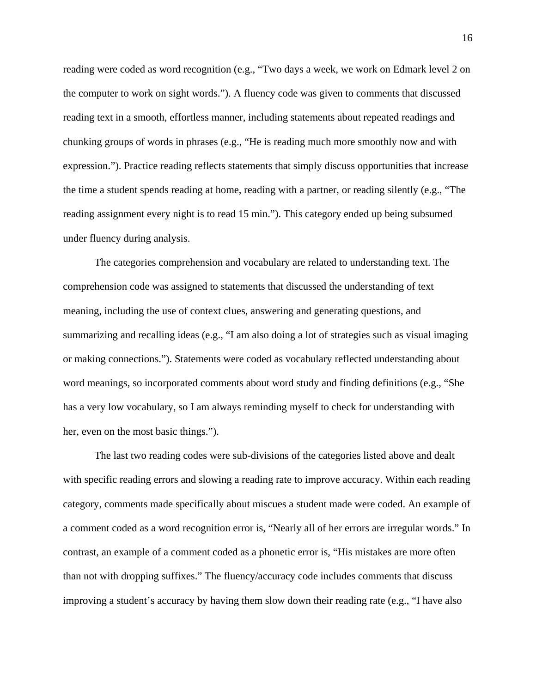reading were coded as word recognition (e.g., "Two days a week, we work on Edmark level 2 on the computer to work on sight words."). A fluency code was given to comments that discussed reading text in a smooth, effortless manner, including statements about repeated readings and chunking groups of words in phrases (e.g., "He is reading much more smoothly now and with expression."). Practice reading reflects statements that simply discuss opportunities that increase the time a student spends reading at home, reading with a partner, or reading silently (e.g., "The reading assignment every night is to read 15 min."). This category ended up being subsumed under fluency during analysis.

The categories comprehension and vocabulary are related to understanding text. The comprehension code was assigned to statements that discussed the understanding of text meaning, including the use of context clues, answering and generating questions, and summarizing and recalling ideas (e.g., "I am also doing a lot of strategies such as visual imaging or making connections."). Statements were coded as vocabulary reflected understanding about word meanings, so incorporated comments about word study and finding definitions (e.g., "She has a very low vocabulary, so I am always reminding myself to check for understanding with her, even on the most basic things.").

The last two reading codes were sub-divisions of the categories listed above and dealt with specific reading errors and slowing a reading rate to improve accuracy. Within each reading category, comments made specifically about miscues a student made were coded. An example of a comment coded as a word recognition error is, "Nearly all of her errors are irregular words." In contrast, an example of a comment coded as a phonetic error is, "His mistakes are more often than not with dropping suffixes." The fluency/accuracy code includes comments that discuss improving a student's accuracy by having them slow down their reading rate (e.g., "I have also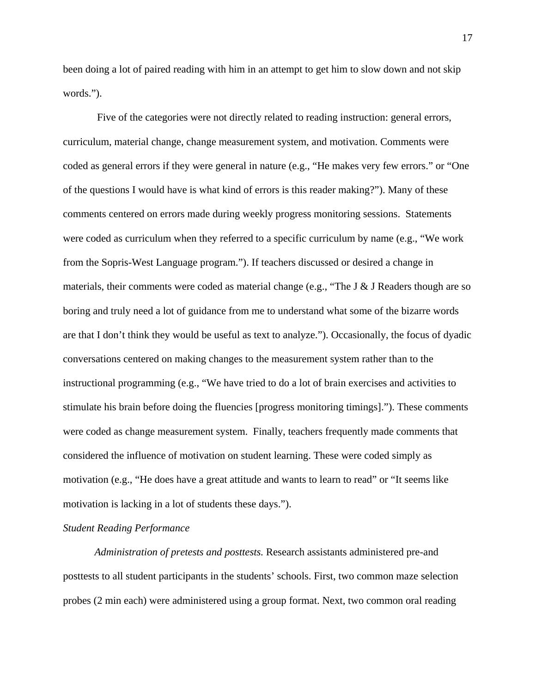been doing a lot of paired reading with him in an attempt to get him to slow down and not skip words.").

 Five of the categories were not directly related to reading instruction: general errors, curriculum, material change, change measurement system, and motivation. Comments were coded as general errors if they were general in nature (e.g., "He makes very few errors." or "One of the questions I would have is what kind of errors is this reader making?"). Many of these comments centered on errors made during weekly progress monitoring sessions. Statements were coded as curriculum when they referred to a specific curriculum by name (e.g., "We work from the Sopris-West Language program."). If teachers discussed or desired a change in materials, their comments were coded as material change (e.g., "The J & J Readers though are so boring and truly need a lot of guidance from me to understand what some of the bizarre words are that I don't think they would be useful as text to analyze."). Occasionally, the focus of dyadic conversations centered on making changes to the measurement system rather than to the instructional programming (e.g., "We have tried to do a lot of brain exercises and activities to stimulate his brain before doing the fluencies [progress monitoring timings]."). These comments were coded as change measurement system. Finally, teachers frequently made comments that considered the influence of motivation on student learning. These were coded simply as motivation (e.g., "He does have a great attitude and wants to learn to read" or "It seems like motivation is lacking in a lot of students these days.").

#### *Student Reading Performance*

*Administration of pretests and posttests.* Research assistants administered pre-and posttests to all student participants in the students' schools. First, two common maze selection probes (2 min each) were administered using a group format. Next, two common oral reading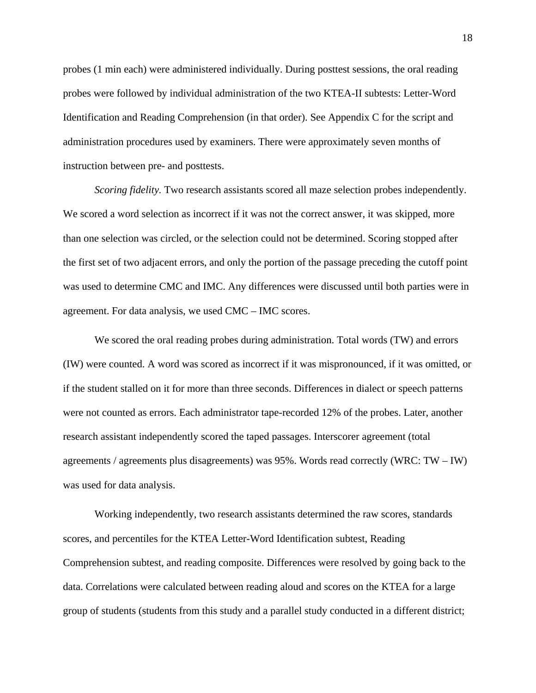probes (1 min each) were administered individually. During posttest sessions, the oral reading probes were followed by individual administration of the two KTEA-II subtests: Letter-Word Identification and Reading Comprehension (in that order). See Appendix C for the script and administration procedures used by examiners. There were approximately seven months of instruction between pre- and posttests.

*Scoring fidelity.* Two research assistants scored all maze selection probes independently. We scored a word selection as incorrect if it was not the correct answer, it was skipped, more than one selection was circled, or the selection could not be determined. Scoring stopped after the first set of two adjacent errors, and only the portion of the passage preceding the cutoff point was used to determine CMC and IMC. Any differences were discussed until both parties were in agreement. For data analysis, we used CMC – IMC scores.

We scored the oral reading probes during administration. Total words (TW) and errors (IW) were counted. A word was scored as incorrect if it was mispronounced, if it was omitted, or if the student stalled on it for more than three seconds. Differences in dialect or speech patterns were not counted as errors. Each administrator tape-recorded 12% of the probes. Later, another research assistant independently scored the taped passages. Interscorer agreement (total agreements / agreements plus disagreements) was 95%. Words read correctly (WRC: TW – IW) was used for data analysis.

Working independently, two research assistants determined the raw scores, standards scores, and percentiles for the KTEA Letter-Word Identification subtest, Reading Comprehension subtest, and reading composite. Differences were resolved by going back to the data. Correlations were calculated between reading aloud and scores on the KTEA for a large group of students (students from this study and a parallel study conducted in a different district;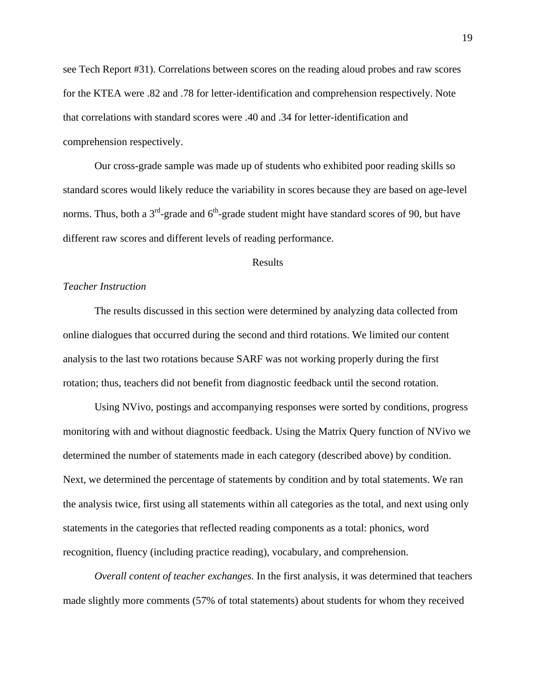see Tech Report #31). Correlations between scores on the reading aloud probes and raw scores for the KTEA were .82 and .78 for letter-identification and comprehension respectively. Note that correlations with standard scores were .40 and .34 for letter-identification and comprehension respectively.

Our cross-grade sample was made up of students who exhibited poor reading skills so standard scores would likely reduce the variability in scores because they are based on age-level norms. Thus, both a  $3<sup>rd</sup>$ -grade and  $6<sup>th</sup>$ -grade student might have standard scores of 90, but have different raw scores and different levels of reading performance.

#### Results

#### *Teacher Instruction*

The results discussed in this section were determined by analyzing data collected from online dialogues that occurred during the second and third rotations. We limited our content analysis to the last two rotations because SARF was not working properly during the first rotation; thus, teachers did not benefit from diagnostic feedback until the second rotation.

Using NVivo, postings and accompanying responses were sorted by conditions, progress monitoring with and without diagnostic feedback. Using the Matrix Query function of NVivo we determined the number of statements made in each category (described above) by condition. Next, we determined the percentage of statements by condition and by total statements. We ran the analysis twice, first using all statements within all categories as the total, and next using only statements in the categories that reflected reading components as a total: phonics, word recognition, fluency (including practice reading), vocabulary, and comprehension.

*Overall content of teacher exchanges.* In the first analysis, it was determined that teachers made slightly more comments (57% of total statements) about students for whom they received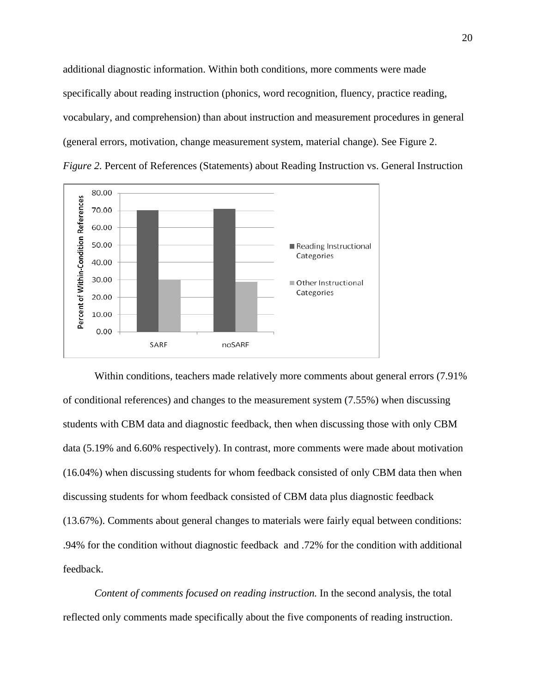additional diagnostic information. Within both conditions, more comments were made specifically about reading instruction (phonics, word recognition, fluency, practice reading, vocabulary, and comprehension) than about instruction and measurement procedures in general (general errors, motivation, change measurement system, material change). See Figure 2. *Figure 2.* Percent of References (Statements) about Reading Instruction vs. General Instruction



Within conditions, teachers made relatively more comments about general errors (7.91% of conditional references) and changes to the measurement system (7.55%) when discussing students with CBM data and diagnostic feedback, then when discussing those with only CBM data (5.19% and 6.60% respectively). In contrast, more comments were made about motivation (16.04%) when discussing students for whom feedback consisted of only CBM data then when discussing students for whom feedback consisted of CBM data plus diagnostic feedback (13.67%). Comments about general changes to materials were fairly equal between conditions: .94% for the condition without diagnostic feedback and .72% for the condition with additional feedback.

*Content of comments focused on reading instruction.* In the second analysis, the total reflected only comments made specifically about the five components of reading instruction.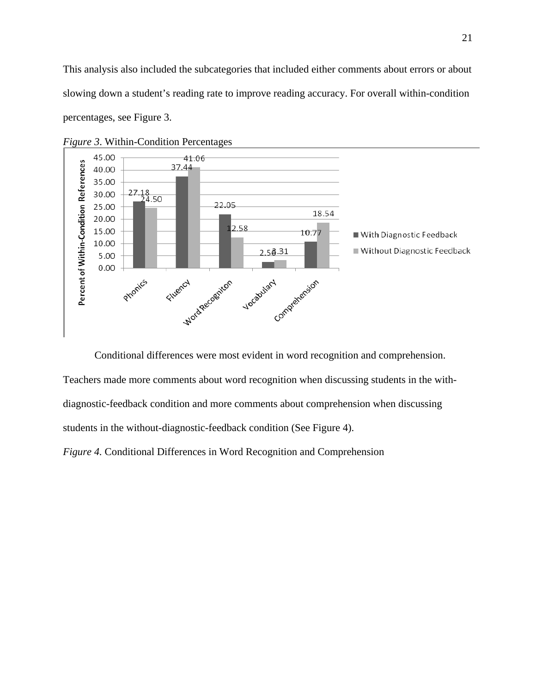This analysis also included the subcategories that included either comments about errors or about slowing down a student's reading rate to improve reading accuracy. For overall within-condition percentages, see Figure 3.



*Figure 3*. Within-Condition Percentages

Conditional differences were most evident in word recognition and comprehension.

Teachers made more comments about word recognition when discussing students in the withdiagnostic-feedback condition and more comments about comprehension when discussing students in the without-diagnostic-feedback condition (See Figure 4).

*Figure 4.* Conditional Differences in Word Recognition and Comprehension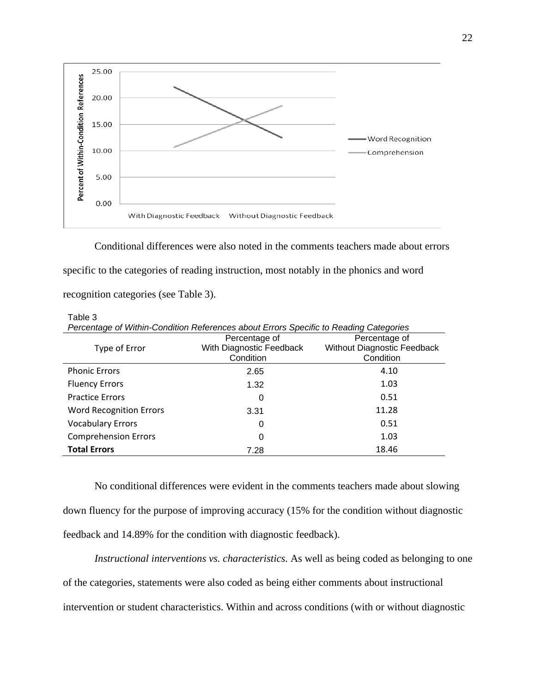

Conditional differences were also noted in the comments teachers made about errors specific to the categories of reading instruction, most notably in the phonics and word recognition categories (see Table 3).

Table 3

| Percentage of Within-Condition References about Errors Specific to Reading Categories |                          |                             |  |  |  |  |  |  |
|---------------------------------------------------------------------------------------|--------------------------|-----------------------------|--|--|--|--|--|--|
|                                                                                       | Percentage of            | Percentage of               |  |  |  |  |  |  |
| Type of Error                                                                         | With Diagnostic Feedback | Without Diagnostic Feedback |  |  |  |  |  |  |
|                                                                                       | Condition                | Condition                   |  |  |  |  |  |  |
| <b>Phonic Errors</b>                                                                  | 2.65                     | 4.10                        |  |  |  |  |  |  |
| <b>Fluency Errors</b>                                                                 | 1.32                     | 1.03                        |  |  |  |  |  |  |
| <b>Practice Errors</b>                                                                | 0                        | 0.51                        |  |  |  |  |  |  |
| <b>Word Recognition Errors</b>                                                        | 3.31                     | 11.28                       |  |  |  |  |  |  |
| <b>Vocabulary Errors</b>                                                              | 0                        | 0.51                        |  |  |  |  |  |  |
| <b>Comprehension Errors</b>                                                           | 0                        | 1.03                        |  |  |  |  |  |  |
| <b>Total Errors</b>                                                                   | 7.28                     | 18.46                       |  |  |  |  |  |  |

 No conditional differences were evident in the comments teachers made about slowing down fluency for the purpose of improving accuracy (15% for the condition without diagnostic feedback and 14.89% for the condition with diagnostic feedback).

*Instructional interventions vs. characteristics.* As well as being coded as belonging to one of the categories, statements were also coded as being either comments about instructional intervention or student characteristics. Within and across conditions (with or without diagnostic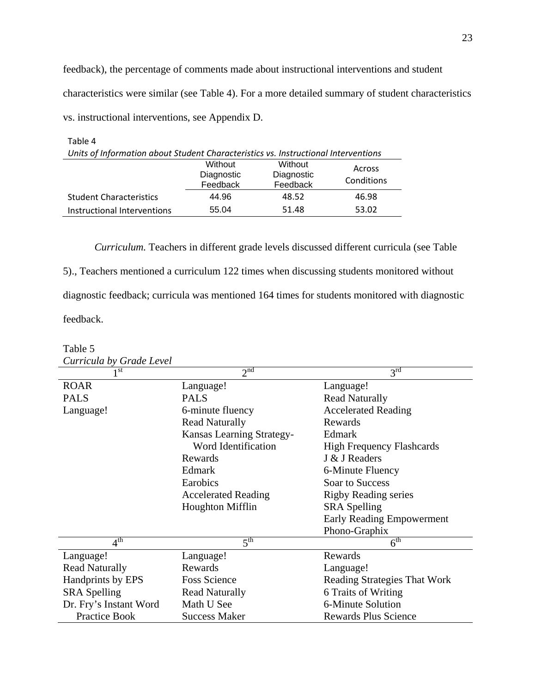feedback), the percentage of comments made about instructional interventions and student characteristics were similar (see Table 4). For a more detailed summary of student characteristics vs. instructional interventions, see Appendix D.

23

| Table 4<br>Units of Information about Student Characteristics vs. Instructional Interventions |                                   |                                   |                      |
|-----------------------------------------------------------------------------------------------|-----------------------------------|-----------------------------------|----------------------|
|                                                                                               | Without<br>Diagnostic<br>Feedback | Without<br>Diagnostic<br>Feedback | Across<br>Conditions |
| <b>Student Characteristics</b>                                                                | 44.96                             | 48.52                             | 46.98                |
| Instructional Interventions                                                                   | 55.04                             | 51.48                             | 53.02                |

Table 5

*Curriculum.* Teachers in different grade levels discussed different curricula (see Table 5)., Teachers mentioned a curriculum 122 times when discussing students monitored without diagnostic feedback; curricula was mentioned 164 times for students monitored with diagnostic feedback.

| Curricula by Grade Level   |                            |                                  |
|----------------------------|----------------------------|----------------------------------|
| 1 st                       | 2 <sup>nd</sup>            | 3 <sup>rd</sup>                  |
| <b>ROAR</b>                | Language!                  | Language!                        |
| <b>PALS</b>                | <b>PALS</b>                | <b>Read Naturally</b>            |
| Language!                  | 6-minute fluency           | <b>Accelerated Reading</b>       |
|                            | <b>Read Naturally</b>      | Rewards                          |
|                            | Kansas Learning Strategy-  | Edmark                           |
|                            | Word Identification        | <b>High Frequency Flashcards</b> |
|                            | Rewards                    | J & J Readers                    |
|                            | Edmark                     | 6-Minute Fluency                 |
|                            | Earobics                   | Soar to Success                  |
|                            | <b>Accelerated Reading</b> | <b>Rigby Reading series</b>      |
|                            | <b>Houghton Mifflin</b>    | <b>SRA</b> Spelling              |
|                            |                            | <b>Early Reading Empowerment</b> |
|                            |                            | Phono-Graphix                    |
| $4^{\overline{\text{th}}}$ | 5 <sup>th</sup>            | $6^{\text{th}}$                  |
| Language!                  | Language!                  | Rewards                          |
| <b>Read Naturally</b>      | Rewards                    | Language!                        |
| Handprints by EPS          | <b>Foss Science</b>        | Reading Strategies That Work     |
| <b>SRA</b> Spelling        | <b>Read Naturally</b>      | 6 Traits of Writing              |
| Dr. Fry's Instant Word     | Math U See                 | 6-Minute Solution                |
| <b>Practice Book</b>       | <b>Success Maker</b>       | <b>Rewards Plus Science</b>      |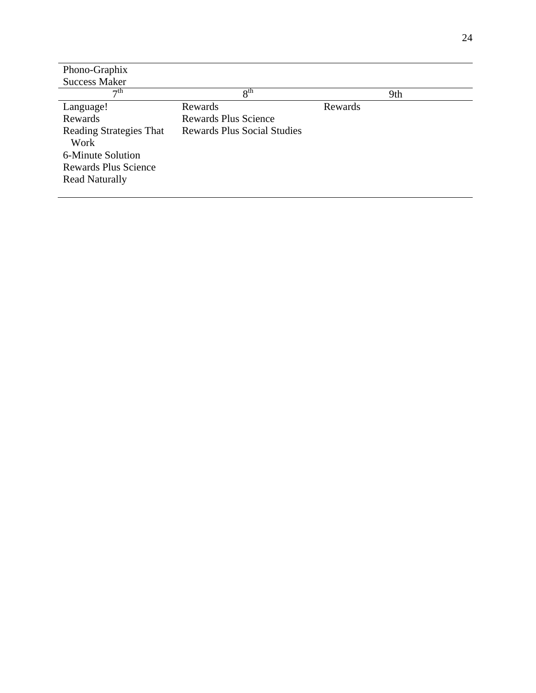| Phono-Graphix                  |                                    |         |     |
|--------------------------------|------------------------------------|---------|-----|
| <b>Success Maker</b>           |                                    |         |     |
| $\tau$ th                      | 8 <sup>th</sup>                    |         | 9th |
| Language!                      | Rewards                            | Rewards |     |
| Rewards                        | <b>Rewards Plus Science</b>        |         |     |
| <b>Reading Strategies That</b> | <b>Rewards Plus Social Studies</b> |         |     |
| Work                           |                                    |         |     |
| 6-Minute Solution              |                                    |         |     |
| <b>Rewards Plus Science</b>    |                                    |         |     |
| <b>Read Naturally</b>          |                                    |         |     |
|                                |                                    |         |     |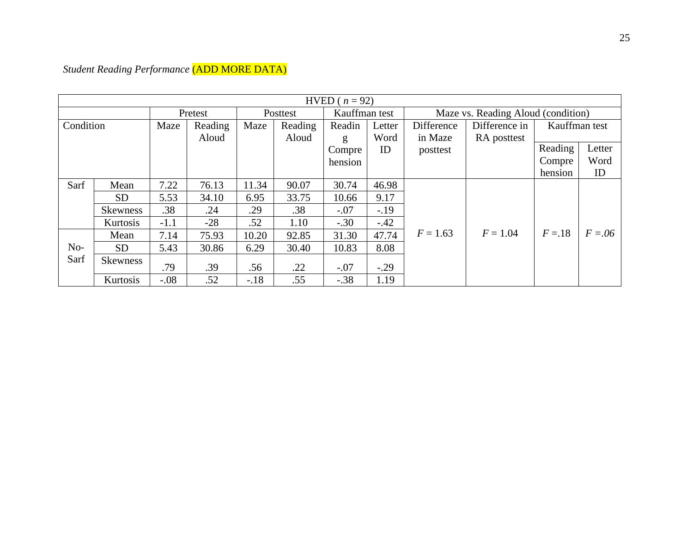|           |                 |        |         |        |          | HVED ( $n = 92$ ) |        |            |                                    |               |            |
|-----------|-----------------|--------|---------|--------|----------|-------------------|--------|------------|------------------------------------|---------------|------------|
|           |                 |        | Pretest |        | Posttest | Kauffman test     |        |            | Maze vs. Reading Aloud (condition) |               |            |
| Condition |                 | Maze   | Reading | Maze   | Reading  | Readin            | Letter | Difference | Difference in                      | Kauffman test |            |
|           |                 |        | Aloud   |        | Aloud    | g                 | Word   | in Maze    | RA posttest                        |               |            |
|           |                 |        |         |        |          | Compre            | ID     | posttest   |                                    | Reading       | Letter     |
|           |                 |        |         |        |          | hension           |        |            |                                    | Compre        | Word       |
|           |                 |        |         |        |          |                   |        |            |                                    | hension       | ID         |
| Sarf      | Mean            | 7.22   | 76.13   | 11.34  | 90.07    | 30.74             | 46.98  |            |                                    |               |            |
|           | <b>SD</b>       | 5.53   | 34.10   | 6.95   | 33.75    | 10.66             | 9.17   |            |                                    |               |            |
|           | <b>Skewness</b> | .38    | .24     | .29    | .38      | $-.07$            | $-.19$ |            |                                    |               |            |
|           | Kurtosis        | $-1.1$ | $-28$   | .52    | 1.10     | $-.30$            | $-.42$ |            |                                    |               |            |
|           | Mean            | 7.14   | 75.93   | 10.20  | 92.85    | 31.30             | 47.74  | $F = 1.63$ | $F = 1.04$                         | $F = 18$      | $F = 0.06$ |
| $No-$     | <b>SD</b>       | 5.43   | 30.86   | 6.29   | 30.40    | 10.83             | 8.08   |            |                                    |               |            |
| Sarf      | Skewness        | .79    | .39     | .56    | .22      | $-.07$            | $-.29$ |            |                                    |               |            |
|           | Kurtosis        | $-.08$ | .52     | $-.18$ | .55      | $-.38$            | 1.19   |            |                                    |               |            |

*Student Reading Performance* (ADD MORE DATA)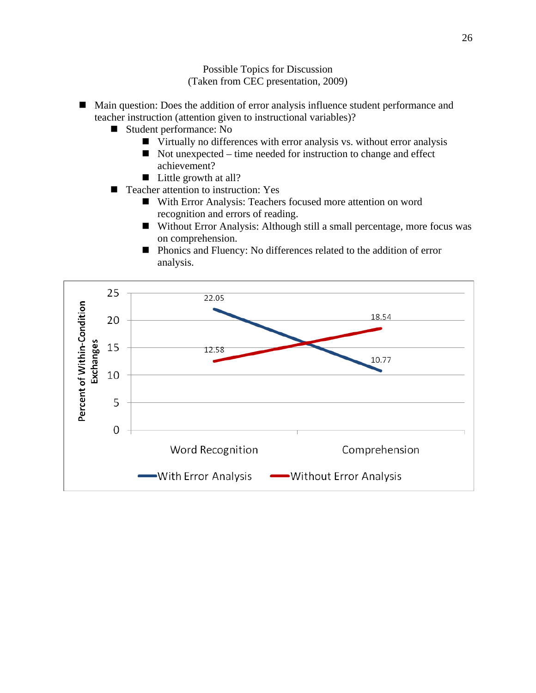Possible Topics for Discussion (Taken from CEC presentation, 2009)

- Main question: Does the addition of error analysis influence student performance and teacher instruction (attention given to instructional variables)?
	- Student performance: No
		- Virtually no differences with error analysis vs. without error analysis
		- $\blacksquare$  Not unexpected time needed for instruction to change and effect achievement?
		- $\blacksquare$  Little growth at all?
	- Teacher attention to instruction: Yes
		- With Error Analysis: Teachers focused more attention on word recognition and errors of reading.
		- Without Error Analysis: Although still a small percentage, more focus was on comprehension.
		- **Phonics and Fluency: No differences related to the addition of error** analysis.

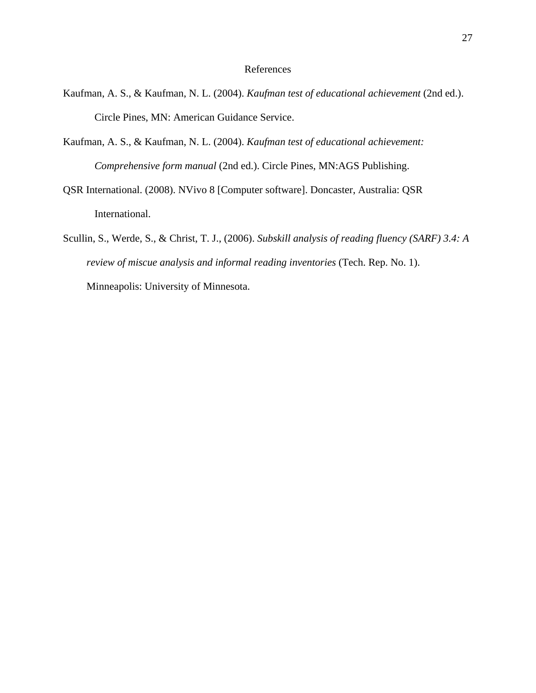#### References

- Kaufman, A. S., & Kaufman, N. L. (2004). *Kaufman test of educational achievement* (2nd ed.). Circle Pines, MN: American Guidance Service.
- Kaufman, A. S., & Kaufman, N. L. (2004). *Kaufman test of educational achievement: Comprehensive form manual* (2nd ed.). Circle Pines, MN:AGS Publishing.
- QSR International. (2008). NVivo 8 [Computer software]. Doncaster, Australia: QSR International.
- Scullin, S., Werde, S., & Christ, T. J., (2006). *Subskill analysis of reading fluency (SARF) 3.4: A review of miscue analysis and informal reading inventories* (Tech. Rep. No. 1). Minneapolis: University of Minnesota.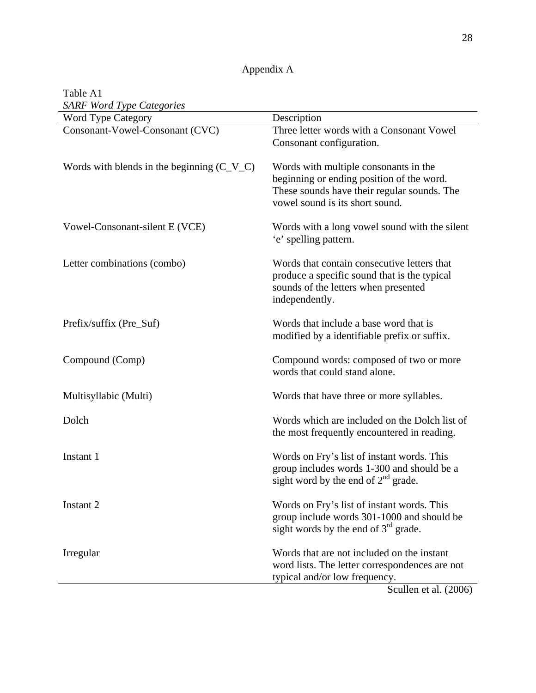| Appendix A |
|------------|
|------------|

| Table A1                                     |                                                                                                                                                                      |
|----------------------------------------------|----------------------------------------------------------------------------------------------------------------------------------------------------------------------|
| <b>SARF Word Type Categories</b>             |                                                                                                                                                                      |
| Word Type Category                           | Description                                                                                                                                                          |
| Consonant-Vowel-Consonant (CVC)              | Three letter words with a Consonant Vowel<br>Consonant configuration.                                                                                                |
| Words with blends in the beginning $(C_V_C)$ | Words with multiple consonants in the<br>beginning or ending position of the word.<br>These sounds have their regular sounds. The<br>vowel sound is its short sound. |
| Vowel-Consonant-silent E (VCE)               | Words with a long vowel sound with the silent<br>'e' spelling pattern.                                                                                               |
| Letter combinations (combo)                  | Words that contain consecutive letters that<br>produce a specific sound that is the typical<br>sounds of the letters when presented<br>independently.                |
| Prefix/suffix (Pre_Suf)                      | Words that include a base word that is<br>modified by a identifiable prefix or suffix.                                                                               |
| Compound (Comp)                              | Compound words: composed of two or more<br>words that could stand alone.                                                                                             |
| Multisyllabic (Multi)                        | Words that have three or more syllables.                                                                                                                             |
| Dolch                                        | Words which are included on the Dolch list of<br>the most frequently encountered in reading.                                                                         |
| Instant 1                                    | Words on Fry's list of instant words. This<br>group includes words 1-300 and should be a<br>sight word by the end of $2nd$ grade.                                    |
| Instant 2                                    | Words on Fry's list of instant words. This<br>group include words 301-1000 and should be<br>sight words by the end of $3rd$ grade.                                   |
| Irregular                                    | Words that are not included on the instant<br>word lists. The letter correspondences are not<br>typical and/or low frequency.<br>Scullen et al. $(2006)$             |

Scullen et al. (2006)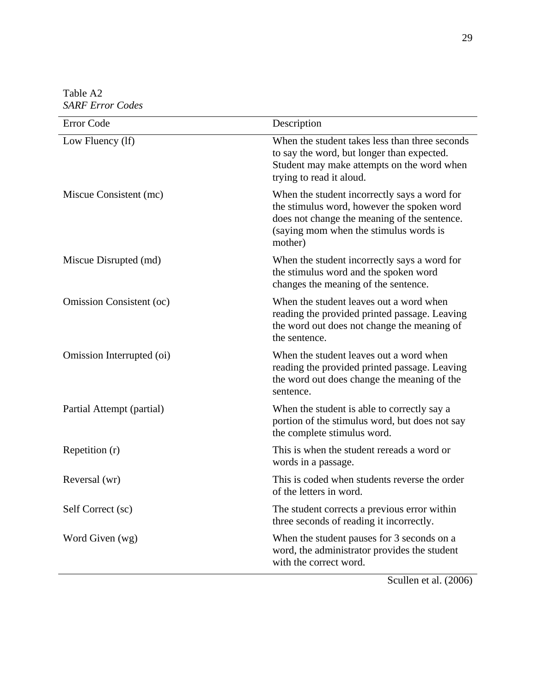Table A2 *SARF Error Codes* 

| <b>Error Code</b>               | Description                                                                                                                                                                                     |
|---------------------------------|-------------------------------------------------------------------------------------------------------------------------------------------------------------------------------------------------|
| Low Fluency (lf)                | When the student takes less than three seconds<br>to say the word, but longer than expected.<br>Student may make attempts on the word when<br>trying to read it aloud.                          |
| Miscue Consistent (mc)          | When the student incorrectly says a word for<br>the stimulus word, however the spoken word<br>does not change the meaning of the sentence.<br>(saying mom when the stimulus words is<br>mother) |
| Miscue Disrupted (md)           | When the student incorrectly says a word for<br>the stimulus word and the spoken word<br>changes the meaning of the sentence.                                                                   |
| <b>Omission Consistent (oc)</b> | When the student leaves out a word when<br>reading the provided printed passage. Leaving<br>the word out does not change the meaning of<br>the sentence.                                        |
| Omission Interrupted (oi)       | When the student leaves out a word when<br>reading the provided printed passage. Leaving<br>the word out does change the meaning of the<br>sentence.                                            |
| Partial Attempt (partial)       | When the student is able to correctly say a<br>portion of the stimulus word, but does not say<br>the complete stimulus word.                                                                    |
| Repetition (r)                  | This is when the student rereads a word or<br>words in a passage.                                                                                                                               |
| Reversal (wr)                   | This is coded when students reverse the order<br>of the letters in word.                                                                                                                        |
| Self Correct (sc)               | The student corrects a previous error within<br>three seconds of reading it incorrectly.                                                                                                        |
| Word Given (wg)                 | When the student pauses for 3 seconds on a<br>word, the administrator provides the student<br>with the correct word.                                                                            |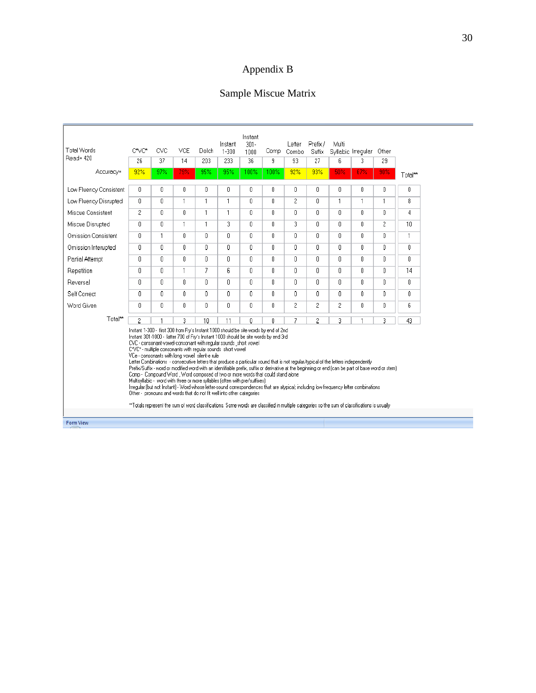# Appendix B

# Sample Miscue Matrix

| Accuracy=<br>Low Fluency Consistent<br>Low Fluency Disrupted<br>Miscue Consistent<br>Miscue Disrupted<br><b>Omission Consistent</b><br>Omission Interupted                                                                                                                                                                                                                                                                                                                                                                                                                                                                                                                                                                                                                                                                                                                                                                                                                                                                                                                                                                                                                                         | 92%<br>$\mathbf{0}$<br>0<br>$\overline{c}$<br>$\mathbf{0}$<br>$\mathbf{u}$ | 97%<br>0<br>0.<br>Ū.<br>0 | 79%<br>0<br>$\mathbf{1}$<br>n | 95%<br>$\mathbf{0}$<br>$\mathbf{1}$ | 95%<br>Ū | 100% | 100%         | 92%            | 93%            | 50%            | 67%          | 90%          |              |
|----------------------------------------------------------------------------------------------------------------------------------------------------------------------------------------------------------------------------------------------------------------------------------------------------------------------------------------------------------------------------------------------------------------------------------------------------------------------------------------------------------------------------------------------------------------------------------------------------------------------------------------------------------------------------------------------------------------------------------------------------------------------------------------------------------------------------------------------------------------------------------------------------------------------------------------------------------------------------------------------------------------------------------------------------------------------------------------------------------------------------------------------------------------------------------------------------|----------------------------------------------------------------------------|---------------------------|-------------------------------|-------------------------------------|----------|------|--------------|----------------|----------------|----------------|--------------|--------------|--------------|
|                                                                                                                                                                                                                                                                                                                                                                                                                                                                                                                                                                                                                                                                                                                                                                                                                                                                                                                                                                                                                                                                                                                                                                                                    |                                                                            |                           |                               |                                     |          |      |              |                |                |                |              |              | Total**      |
|                                                                                                                                                                                                                                                                                                                                                                                                                                                                                                                                                                                                                                                                                                                                                                                                                                                                                                                                                                                                                                                                                                                                                                                                    |                                                                            |                           |                               |                                     |          | 0    | 0            | 0              | 0              | 0              | $\theta$     | 0            | 0            |
|                                                                                                                                                                                                                                                                                                                                                                                                                                                                                                                                                                                                                                                                                                                                                                                                                                                                                                                                                                                                                                                                                                                                                                                                    |                                                                            |                           |                               |                                     | 1        | n    | Ū.           | $\overline{2}$ | $\mathbf{r}$   | $\mathbf{1}$   | $\mathbf{1}$ | $\mathbf{1}$ | 8.           |
|                                                                                                                                                                                                                                                                                                                                                                                                                                                                                                                                                                                                                                                                                                                                                                                                                                                                                                                                                                                                                                                                                                                                                                                                    |                                                                            |                           |                               | $\mathbf{1}$                        | 1        | 0    | 0            | Ω.             | n.             | Ū.             | $\mathbf{u}$ | f.           | 4            |
|                                                                                                                                                                                                                                                                                                                                                                                                                                                                                                                                                                                                                                                                                                                                                                                                                                                                                                                                                                                                                                                                                                                                                                                                    |                                                                            |                           | 1                             | 1                                   | 3        | 0    | 0            | 3              | 0              | 0              | $\mathbf{0}$ | 2            | 10           |
|                                                                                                                                                                                                                                                                                                                                                                                                                                                                                                                                                                                                                                                                                                                                                                                                                                                                                                                                                                                                                                                                                                                                                                                                    |                                                                            | 1                         | n                             | $\mathbf{0}$                        | U.       | 0    | 0            | 0              | Ū.             | Ū.             | $\mathbf{0}$ | 0.           | 1            |
|                                                                                                                                                                                                                                                                                                                                                                                                                                                                                                                                                                                                                                                                                                                                                                                                                                                                                                                                                                                                                                                                                                                                                                                                    | $\mathbf{0}$                                                               | 0                         | 0                             | $\mathbf{0}$                        | n        | 0    | 0            | 0              | $\mathbb{R}$   | 0              | $\theta$     | 0            | f.           |
| Partial Attempt                                                                                                                                                                                                                                                                                                                                                                                                                                                                                                                                                                                                                                                                                                                                                                                                                                                                                                                                                                                                                                                                                                                                                                                    | $\mathbf{0}$                                                               | 0.                        | 0                             | $\mathbf{0}$                        | 0.       | 0    | 0            | 0              | $\mathsf{n}$   | $\mathsf{n}$   | $\mathbf{0}$ | 0            | $\mathsf{n}$ |
| Repetition                                                                                                                                                                                                                                                                                                                                                                                                                                                                                                                                                                                                                                                                                                                                                                                                                                                                                                                                                                                                                                                                                                                                                                                         | $\mathbb{R}$                                                               | 0.                        | 1                             | 7                                   | ĥ        | 0    | f.           | Ω.             | $\mathbb{R}$   | 0.             | $\mathbf{u}$ | $\mathsf{n}$ | 14           |
| Reversal                                                                                                                                                                                                                                                                                                                                                                                                                                                                                                                                                                                                                                                                                                                                                                                                                                                                                                                                                                                                                                                                                                                                                                                           | 0                                                                          | 0                         | 0                             | $\begin{array}{c} \end{array}$      | 0        | 0    | 0            | $\mathbf{0}$   | 0.             | 0              | $\theta$     | 0            | $\Omega$     |
| Self Correct                                                                                                                                                                                                                                                                                                                                                                                                                                                                                                                                                                                                                                                                                                                                                                                                                                                                                                                                                                                                                                                                                                                                                                                       | $\mathbf{0}$                                                               | 0                         | Ū.                            | $\begin{array}{c} \n\end{array}$    | 0        | 0    | $\mathbf{0}$ | 0              | $\mathbf{0}$   | $\mathbf{0}$   | $\mathbf{0}$ | 0            | $\mathbf{0}$ |
| Word Given                                                                                                                                                                                                                                                                                                                                                                                                                                                                                                                                                                                                                                                                                                                                                                                                                                                                                                                                                                                                                                                                                                                                                                                         | $\mathbf{0}$                                                               | 0                         | n                             | $\mathbf{0}$                        | U        | 0    | 0            | $\overline{c}$ | $\overline{2}$ | $\overline{c}$ | 0            | O            | 6            |
| Total**                                                                                                                                                                                                                                                                                                                                                                                                                                                                                                                                                                                                                                                                                                                                                                                                                                                                                                                                                                                                                                                                                                                                                                                            | 2                                                                          |                           | 3                             | 10                                  | 11       | 0    | n            | 7              | 2              | 3              | 1            | 3.           | 43           |
| Instant 1-300 - first 300 from Fry's Instant 1000 should be site words by end of 2nd<br>Instant 301-1000 - latter 700 of Fry's Instant 1000 should be site words by end 3rd<br>CVC - consonant-vowel-consonant with regular sounds short vowel<br>C*VC* - multiple consonants with regular sounds short vowel<br>VCe - consonants with long vowel silent-e rule<br>Letter Combinations - consecutive letters that produce a particular sound that is not reqular/typical of the letters independently<br>Prefix/Suffix - word or modified word with an identifiable prefix, suffix or derivative at the beginning or end (can be part of base word or stem).<br>Comp - Compound Word , Word composed of two or more words that could stand alone<br>Multisyllabic - word with three or more syllables (often with pre/suffixes).<br>Irregular (but not Instant) - Word whose letter-sound correspondences that are atypical; including low frequency letter combinations<br>Other - pronouns and words that do not fit well into other categories<br>**Totals represent the sum of word classifications. Some words are classified in multiple categories so the sum of classifications is usually |                                                                            |                           |                               |                                     |          |      |              |                |                |                |              |              |              |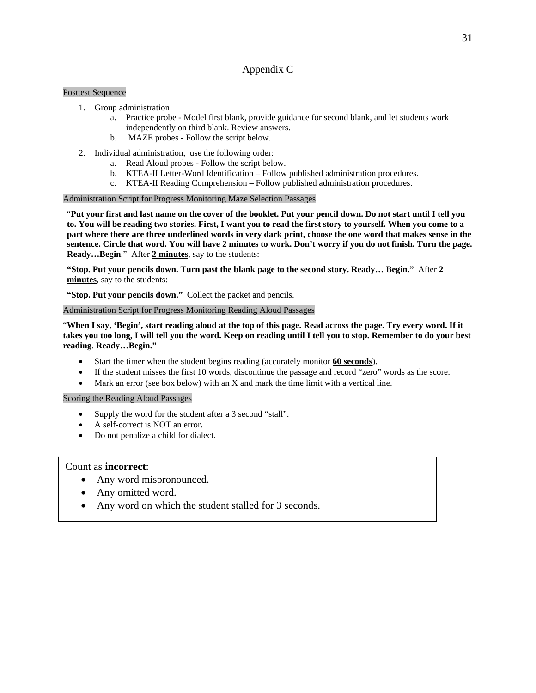#### Appendix C

#### Posttest Sequence

- 1. Group administration
	- a. Practice probe Model first blank, provide guidance for second blank, and let students work independently on third blank. Review answers.
	- b. MAZE probes Follow the script below.
- 2. Individual administration, use the following order:
	- a. Read Aloud probes Follow the script below.
	- b. KTEA-II Letter-Word Identification Follow published administration procedures.
	- c. KTEA-II Reading Comprehension Follow published administration procedures.

#### Administration Script for Progress Monitoring Maze Selection Passages

"**Put your first and last name on the cover of the booklet. Put your pencil down. Do not start until I tell you to. You will be reading two stories. First, I want you to read the first story to yourself. When you come to a part where there are three underlined words in very dark print, choose the one word that makes sense in the sentence. Circle that word. You will have 2 minutes to work. Don't worry if you do not finish. Turn the page. Ready…Begin**." After **2 minutes**, say to the students:

**"Stop. Put your pencils down. Turn past the blank page to the second story. Ready… Begin."** After **2 minutes**, say to the students:

**"Stop. Put your pencils down."** Collect the packet and pencils.

#### Administration Script for Progress Monitoring Reading Aloud Passages

"**When I say, 'Begin', start reading aloud at the top of this page. Read across the page. Try every word. If it takes you too long, I will tell you the word. Keep on reading until I tell you to stop. Remember to do your best reading**. **Ready…Begin."**

- Start the timer when the student begins reading (accurately monitor **60 seconds**).
- If the student misses the first 10 words, discontinue the passage and record "zero" words as the score.
- Mark an error (see box below) with an X and mark the time limit with a vertical line.

#### Scoring the Reading Aloud Passages

- Supply the word for the student after a 3 second "stall".
- A self-correct is NOT an error.
- Do not penalize a child for dialect.

#### Count as **incorrect**:

- Any word mispronounced.
- Any omitted word.
- Any word on which the student stalled for 3 seconds.